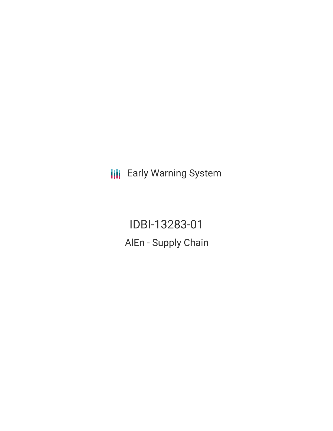**III** Early Warning System

IDBI-13283-01 AlEn - Supply Chain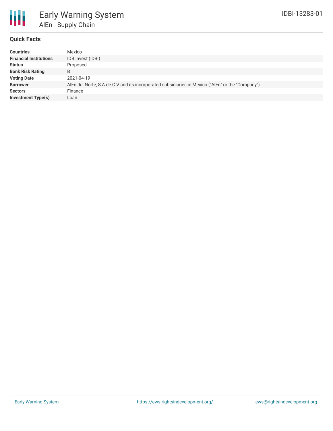

### **Quick Facts**

| <b>Countries</b>              | Mexico                                                                                           |
|-------------------------------|--------------------------------------------------------------------------------------------------|
| <b>Financial Institutions</b> | IDB Invest (IDBI)                                                                                |
| <b>Status</b>                 | Proposed                                                                                         |
| <b>Bank Risk Rating</b>       | B                                                                                                |
| <b>Voting Date</b>            | 2021-04-19                                                                                       |
| <b>Borrower</b>               | AlEn del Norte, S.A de C.V and its incorporated subsidiaries in Mexico ("AlEn" or the "Company") |
| <b>Sectors</b>                | Finance                                                                                          |
| <b>Investment Type(s)</b>     | Loan                                                                                             |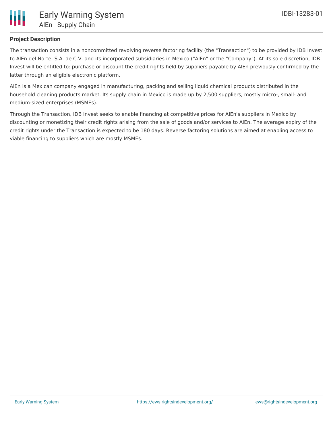

# **Project Description**

The transaction consists in a noncommitted revolving reverse factoring facility (the "Transaction") to be provided by IDB Invest to AlEn del Norte, S.A. de C.V. and its incorporated subsidiaries in Mexico ("AlEn" or the "Company"). At its sole discretion, IDB Invest will be entitled to: purchase or discount the credit rights held by suppliers payable by AlEn previously confirmed by the latter through an eligible electronic platform.

AlEn is a Mexican company engaged in manufacturing, packing and selling liquid chemical products distributed in the household cleaning products market. Its supply chain in Mexico is made up by 2,500 suppliers, mostly micro-, small- and medium-sized enterprises (MSMEs).

Through the Transaction, IDB Invest seeks to enable financing at competitive prices for AlEn's suppliers in Mexico by discounting or monetizing their credit rights arising from the sale of goods and/or services to AlEn. The average expiry of the credit rights under the Transaction is expected to be 180 days. Reverse factoring solutions are aimed at enabling access to viable financing to suppliers which are mostly MSMEs.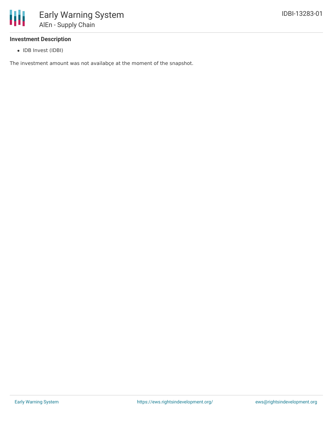

## **Investment Description**

• IDB Invest (IDBI)

The investment amount was not availabçe at the moment of the snapshot.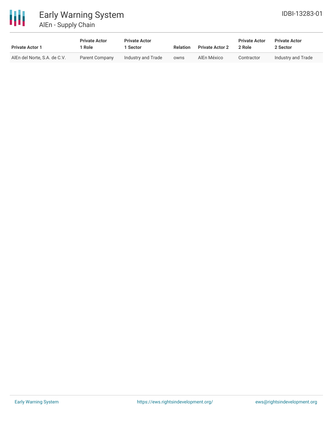

# Early Warning System AlEn - Supply Chain

| <b>Private Actor 1</b>       | <b>Private Actor</b><br>l Role | <b>Private Actor</b><br>1 Sector | <b>Relation</b> | <b>Private Actor 2</b> | <b>Private Actor</b><br>2 Role | <b>Private Actor</b><br>2 Sector |  |
|------------------------------|--------------------------------|----------------------------------|-----------------|------------------------|--------------------------------|----------------------------------|--|
| AlEn del Norte, S.A. de C.V. | Parent Company                 | Industry and Trade               | owns            | AlEn México            | Contractor                     | Industry and Trade               |  |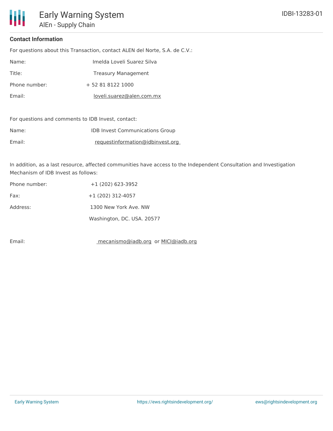# **Contact Information**

ı

For questions about this Transaction, contact ALEN del Norte, S.A. de C.V.:

| Name:         | Imelda Loveli Suarez Silva |
|---------------|----------------------------|
| Title:        | <b>Treasury Management</b> |
| Phone number: | + 52 81 8122 1000          |
| Email:        | loveli.suarez@alen.com.mx  |

For questions and comments to IDB Invest, contact:

| Name:  | <b>IDB Invest Communications Group</b> |
|--------|----------------------------------------|
| Email: | requestinformation@idbinvest.org       |

In addition, as a last resource, affected communities have access to the Independent Consultation and Investigation Mechanism of IDB Invest as follows:

| Phone number: | $+1$ (202) 623-3952        |
|---------------|----------------------------|
| Fax:          | $+1(202)$ 312-4057         |
| Address:      | 1300 New York Ave, NW      |
|               | Washington, DC. USA. 20577 |

Email: mecanismo@iadb.org or MICI@iadb.org